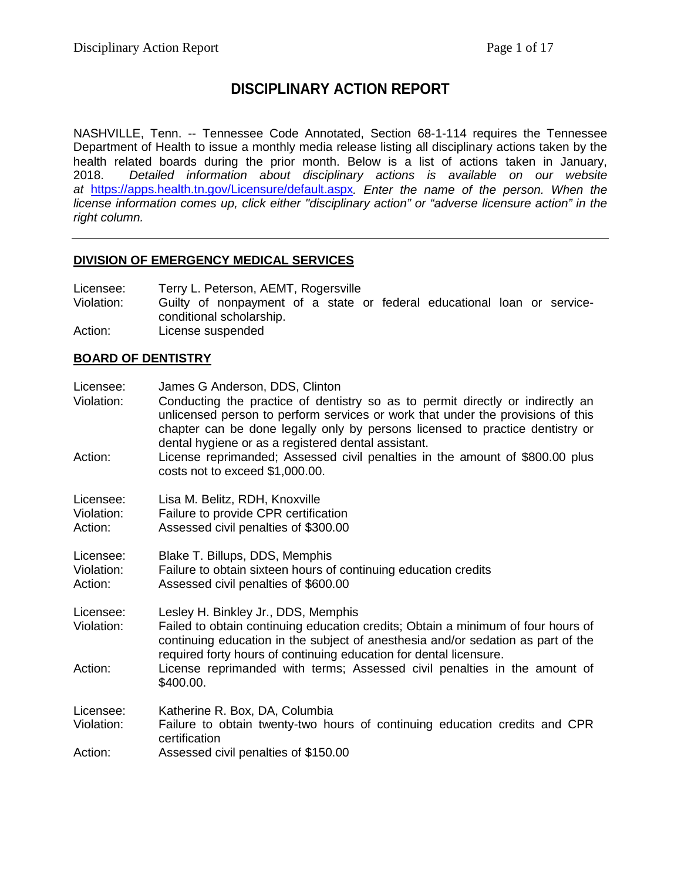# **DISCIPLINARY ACTION REPORT**

NASHVILLE, Tenn. -- Tennessee Code Annotated, Section 68-1-114 requires the Tennessee Department of Health to issue a monthly media release listing all disciplinary actions taken by the health related boards during the prior month. Below is a list of actions taken in January, 2018. *Detailed information about disciplinary actions is available on our website at* <https://apps.health.tn.gov/Licensure/default.aspx>*. Enter the name of the person. When the license information comes up, click either "disciplinary action" or "adverse licensure action" in the right column.*

#### **DIVISION OF EMERGENCY MEDICAL SERVICES**

| Licensee:  | Terry L. Peterson, AEMT, Rogersville                                                                |
|------------|-----------------------------------------------------------------------------------------------------|
| Violation: | Guilty of nonpayment of a state or federal educational loan or service-<br>conditional scholarship. |
| Action:    | License suspended                                                                                   |

#### **BOARD OF DENTISTRY**

| Licensee:<br>Violation:            | James G Anderson, DDS, Clinton<br>Conducting the practice of dentistry so as to permit directly or indirectly an<br>unlicensed person to perform services or work that under the provisions of this<br>chapter can be done legally only by persons licensed to practice dentistry or |
|------------------------------------|--------------------------------------------------------------------------------------------------------------------------------------------------------------------------------------------------------------------------------------------------------------------------------------|
| Action:                            | dental hygiene or as a registered dental assistant.<br>License reprimanded; Assessed civil penalties in the amount of \$800.00 plus<br>costs not to exceed \$1,000.00.                                                                                                               |
| Licensee:<br>Violation:<br>Action: | Lisa M. Belitz, RDH, Knoxville<br>Failure to provide CPR certification<br>Assessed civil penalties of \$300.00                                                                                                                                                                       |
| Licensee:<br>Violation:<br>Action: | Blake T. Billups, DDS, Memphis<br>Failure to obtain sixteen hours of continuing education credits<br>Assessed civil penalties of \$600.00                                                                                                                                            |
| Licensee:<br>Violation:            | Lesley H. Binkley Jr., DDS, Memphis<br>Failed to obtain continuing education credits; Obtain a minimum of four hours of<br>continuing education in the subject of anesthesia and/or sedation as part of the<br>required forty hours of continuing education for dental licensure.    |
| Action:                            | License reprimanded with terms; Assessed civil penalties in the amount of<br>\$400.00.                                                                                                                                                                                               |
| Licensee:<br>Violation:            | Katherine R. Box, DA, Columbia<br>Failure to obtain twenty-two hours of continuing education credits and CPR<br>certification                                                                                                                                                        |
| Action:                            | Assessed civil penalties of \$150.00                                                                                                                                                                                                                                                 |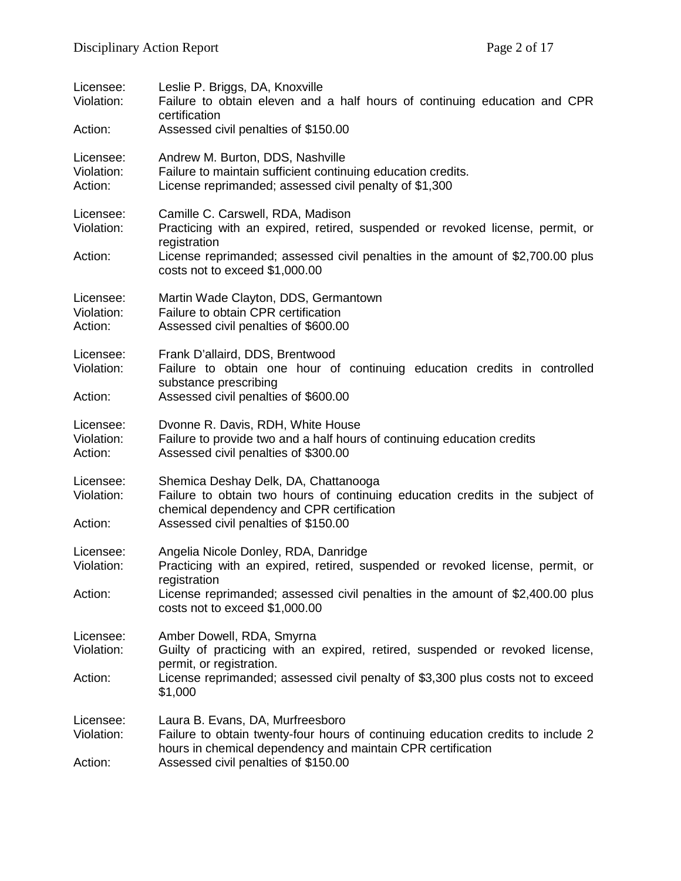| Licensee:<br>Violation:            | Leslie P. Briggs, DA, Knoxville<br>Failure to obtain eleven and a half hours of continuing education and CPR<br>certification                                                                                                                          |
|------------------------------------|--------------------------------------------------------------------------------------------------------------------------------------------------------------------------------------------------------------------------------------------------------|
| Action:                            | Assessed civil penalties of \$150.00                                                                                                                                                                                                                   |
| Licensee:<br>Violation:<br>Action: | Andrew M. Burton, DDS, Nashville<br>Failure to maintain sufficient continuing education credits.<br>License reprimanded; assessed civil penalty of \$1,300                                                                                             |
| Licensee:<br>Violation:<br>Action: | Camille C. Carswell, RDA, Madison<br>Practicing with an expired, retired, suspended or revoked license, permit, or<br>registration<br>License reprimanded; assessed civil penalties in the amount of \$2,700.00 plus<br>costs not to exceed \$1,000.00 |
| Licensee:<br>Violation:<br>Action: | Martin Wade Clayton, DDS, Germantown<br>Failure to obtain CPR certification<br>Assessed civil penalties of \$600.00                                                                                                                                    |
| Licensee:<br>Violation:<br>Action: | Frank D'allaird, DDS, Brentwood<br>Failure to obtain one hour of continuing education credits in controlled<br>substance prescribing<br>Assessed civil penalties of \$600.00                                                                           |
| Licensee:<br>Violation:<br>Action: | Dvonne R. Davis, RDH, White House<br>Failure to provide two and a half hours of continuing education credits<br>Assessed civil penalties of \$300.00                                                                                                   |
| Licensee:<br>Violation:<br>Action: | Shemica Deshay Delk, DA, Chattanooga<br>Failure to obtain two hours of continuing education credits in the subject of<br>chemical dependency and CPR certification<br>Assessed civil penalties of \$150.00                                             |
| Licensee:<br>Violation:            | Angelia Nicole Donley, RDA, Danridge<br>Practicing with an expired, retired, suspended or revoked license, permit, or<br>registration                                                                                                                  |
| Action:                            | License reprimanded; assessed civil penalties in the amount of \$2,400.00 plus<br>costs not to exceed \$1,000.00                                                                                                                                       |
| Licensee:<br>Violation:<br>Action: | Amber Dowell, RDA, Smyrna<br>Guilty of practicing with an expired, retired, suspended or revoked license,<br>permit, or registration.<br>License reprimanded; assessed civil penalty of \$3,300 plus costs not to exceed<br>\$1,000                    |
| Licensee:<br>Violation:<br>Action: | Laura B. Evans, DA, Murfreesboro<br>Failure to obtain twenty-four hours of continuing education credits to include 2<br>hours in chemical dependency and maintain CPR certification<br>Assessed civil penalties of \$150.00                            |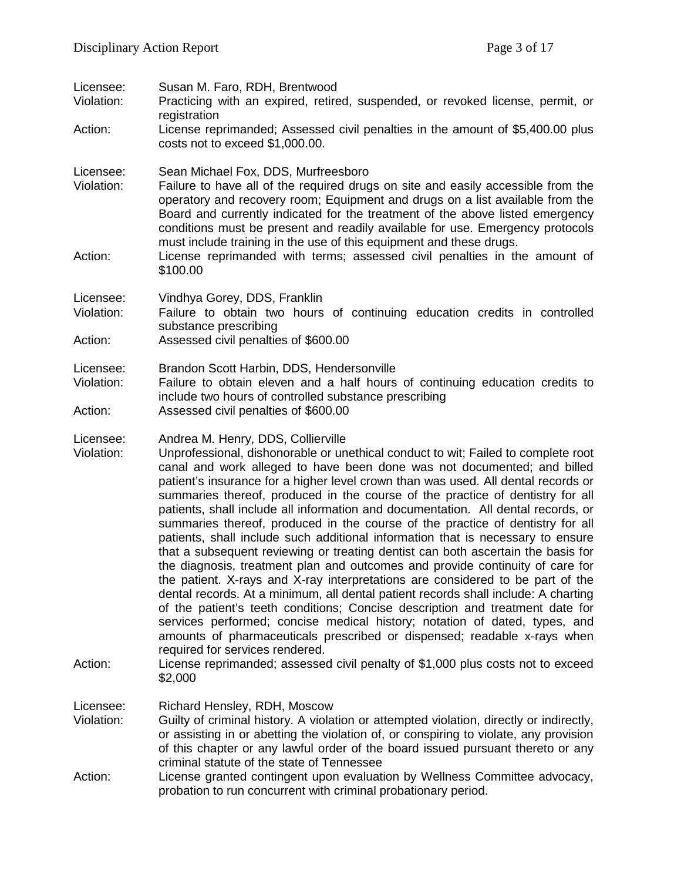| Licensee:<br>Violation:<br>Action: | Susan M. Faro, RDH, Brentwood<br>Practicing with an expired, retired, suspended, or revoked license, permit, or<br>registration<br>License reprimanded; Assessed civil penalties in the amount of \$5,400.00 plus<br>costs not to exceed \$1,000.00.                                                                                                                                                                                                                                                                                                                                                                                                                                                                                                                                                                                                                                                                                                                                                                                                                                                                                                                                                                                                                                                                                                         |
|------------------------------------|--------------------------------------------------------------------------------------------------------------------------------------------------------------------------------------------------------------------------------------------------------------------------------------------------------------------------------------------------------------------------------------------------------------------------------------------------------------------------------------------------------------------------------------------------------------------------------------------------------------------------------------------------------------------------------------------------------------------------------------------------------------------------------------------------------------------------------------------------------------------------------------------------------------------------------------------------------------------------------------------------------------------------------------------------------------------------------------------------------------------------------------------------------------------------------------------------------------------------------------------------------------------------------------------------------------------------------------------------------------|
| Licensee:<br>Violation:<br>Action: | Sean Michael Fox, DDS, Murfreesboro<br>Failure to have all of the required drugs on site and easily accessible from the<br>operatory and recovery room; Equipment and drugs on a list available from the<br>Board and currently indicated for the treatment of the above listed emergency<br>conditions must be present and readily available for use. Emergency protocols<br>must include training in the use of this equipment and these drugs.<br>License reprimanded with terms; assessed civil penalties in the amount of                                                                                                                                                                                                                                                                                                                                                                                                                                                                                                                                                                                                                                                                                                                                                                                                                               |
| Licensee:<br>Violation:<br>Action: | \$100.00<br>Vindhya Gorey, DDS, Franklin<br>Failure to obtain two hours of continuing education credits in controlled<br>substance prescribing<br>Assessed civil penalties of \$600.00                                                                                                                                                                                                                                                                                                                                                                                                                                                                                                                                                                                                                                                                                                                                                                                                                                                                                                                                                                                                                                                                                                                                                                       |
| Licensee:<br>Violation:<br>Action: | Brandon Scott Harbin, DDS, Hendersonville<br>Failure to obtain eleven and a half hours of continuing education credits to<br>include two hours of controlled substance prescribing<br>Assessed civil penalties of \$600.00                                                                                                                                                                                                                                                                                                                                                                                                                                                                                                                                                                                                                                                                                                                                                                                                                                                                                                                                                                                                                                                                                                                                   |
| Licensee:<br>Violation:<br>Action: | Andrea M. Henry, DDS, Collierville<br>Unprofessional, dishonorable or unethical conduct to wit; Failed to complete root<br>canal and work alleged to have been done was not documented; and billed<br>patient's insurance for a higher level crown than was used. All dental records or<br>summaries thereof, produced in the course of the practice of dentistry for all<br>patients, shall include all information and documentation. All dental records, or<br>summaries thereof, produced in the course of the practice of dentistry for all<br>patients, shall include such additional information that is necessary to ensure<br>that a subsequent reviewing or treating dentist can both ascertain the basis for<br>the diagnosis, treatment plan and outcomes and provide continuity of care for<br>the patient. X-rays and X-ray interpretations are considered to be part of the<br>dental records. At a minimum, all dental patient records shall include: A charting<br>of the patient's teeth conditions; Concise description and treatment date for<br>services performed; concise medical history; notation of dated, types, and<br>amounts of pharmaceuticals prescribed or dispensed; readable x-rays when<br>required for services rendered.<br>License reprimanded; assessed civil penalty of \$1,000 plus costs not to exceed<br>\$2,000 |
| Licensee:<br>Violation:<br>Action: | Richard Hensley, RDH, Moscow<br>Guilty of criminal history. A violation or attempted violation, directly or indirectly,<br>or assisting in or abetting the violation of, or conspiring to violate, any provision<br>of this chapter or any lawful order of the board issued pursuant thereto or any<br>criminal statute of the state of Tennessee<br>License granted contingent upon evaluation by Wellness Committee advocacy,<br>probation to run concurrent with criminal probationary period.                                                                                                                                                                                                                                                                                                                                                                                                                                                                                                                                                                                                                                                                                                                                                                                                                                                            |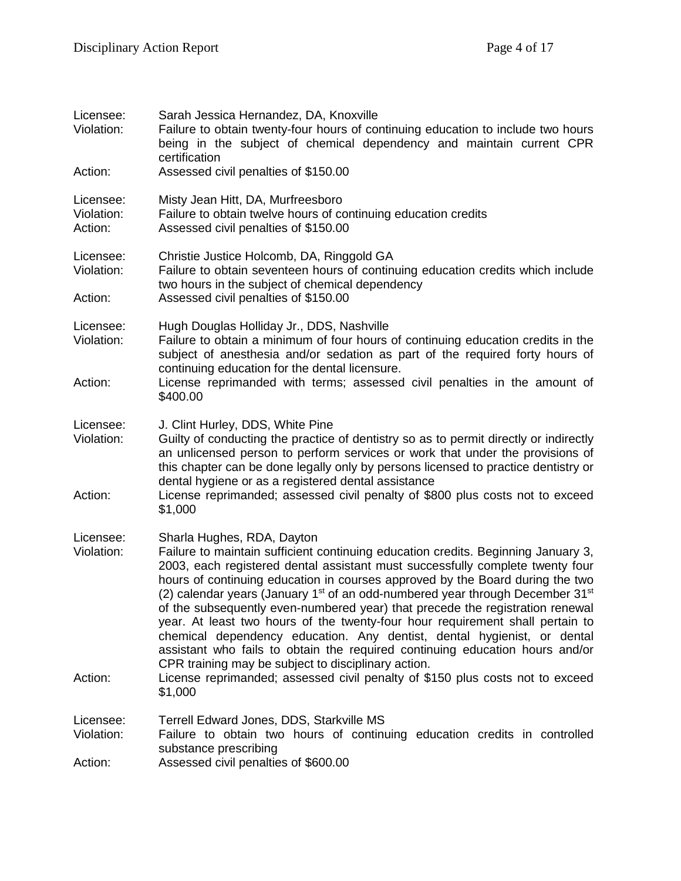| Licensee:<br>Violation:<br>Action: | Sarah Jessica Hernandez, DA, Knoxville<br>Failure to obtain twenty-four hours of continuing education to include two hours<br>being in the subject of chemical dependency and maintain current CPR<br>certification<br>Assessed civil penalties of \$150.00                                                                                                                                                                                                                                                                                                                                                                                                                                                                                                                                                                                                                |
|------------------------------------|----------------------------------------------------------------------------------------------------------------------------------------------------------------------------------------------------------------------------------------------------------------------------------------------------------------------------------------------------------------------------------------------------------------------------------------------------------------------------------------------------------------------------------------------------------------------------------------------------------------------------------------------------------------------------------------------------------------------------------------------------------------------------------------------------------------------------------------------------------------------------|
| Licensee:<br>Violation:<br>Action: | Misty Jean Hitt, DA, Murfreesboro<br>Failure to obtain twelve hours of continuing education credits<br>Assessed civil penalties of \$150.00                                                                                                                                                                                                                                                                                                                                                                                                                                                                                                                                                                                                                                                                                                                                |
| Licensee:<br>Violation:<br>Action: | Christie Justice Holcomb, DA, Ringgold GA<br>Failure to obtain seventeen hours of continuing education credits which include<br>two hours in the subject of chemical dependency<br>Assessed civil penalties of \$150.00                                                                                                                                                                                                                                                                                                                                                                                                                                                                                                                                                                                                                                                    |
| Licensee:<br>Violation:<br>Action: | Hugh Douglas Holliday Jr., DDS, Nashville<br>Failure to obtain a minimum of four hours of continuing education credits in the<br>subject of anesthesia and/or sedation as part of the required forty hours of<br>continuing education for the dental licensure.<br>License reprimanded with terms; assessed civil penalties in the amount of<br>\$400.00                                                                                                                                                                                                                                                                                                                                                                                                                                                                                                                   |
| Licensee:<br>Violation:<br>Action: | J. Clint Hurley, DDS, White Pine<br>Guilty of conducting the practice of dentistry so as to permit directly or indirectly<br>an unlicensed person to perform services or work that under the provisions of<br>this chapter can be done legally only by persons licensed to practice dentistry or<br>dental hygiene or as a registered dental assistance<br>License reprimanded; assessed civil penalty of \$800 plus costs not to exceed<br>\$1,000                                                                                                                                                                                                                                                                                                                                                                                                                        |
| Licensee:<br>Violation:<br>Action: | Sharla Hughes, RDA, Dayton<br>Failure to maintain sufficient continuing education credits. Beginning January 3,<br>2003, each registered dental assistant must successfully complete twenty four<br>hours of continuing education in courses approved by the Board during the two<br>(2) calendar years (January 1 <sup>st</sup> of an odd-numbered year through December 31 <sup>st</sup><br>of the subsequently even-numbered year) that precede the registration renewal<br>year. At least two hours of the twenty-four hour requirement shall pertain to<br>chemical dependency education. Any dentist, dental hygienist, or dental<br>assistant who fails to obtain the required continuing education hours and/or<br>CPR training may be subject to disciplinary action.<br>License reprimanded; assessed civil penalty of \$150 plus costs not to exceed<br>\$1,000 |
| Licensee:<br>Violation:<br>Action: | Terrell Edward Jones, DDS, Starkville MS<br>Failure to obtain two hours of continuing education credits in controlled<br>substance prescribing<br>Assessed civil penalties of \$600.00                                                                                                                                                                                                                                                                                                                                                                                                                                                                                                                                                                                                                                                                                     |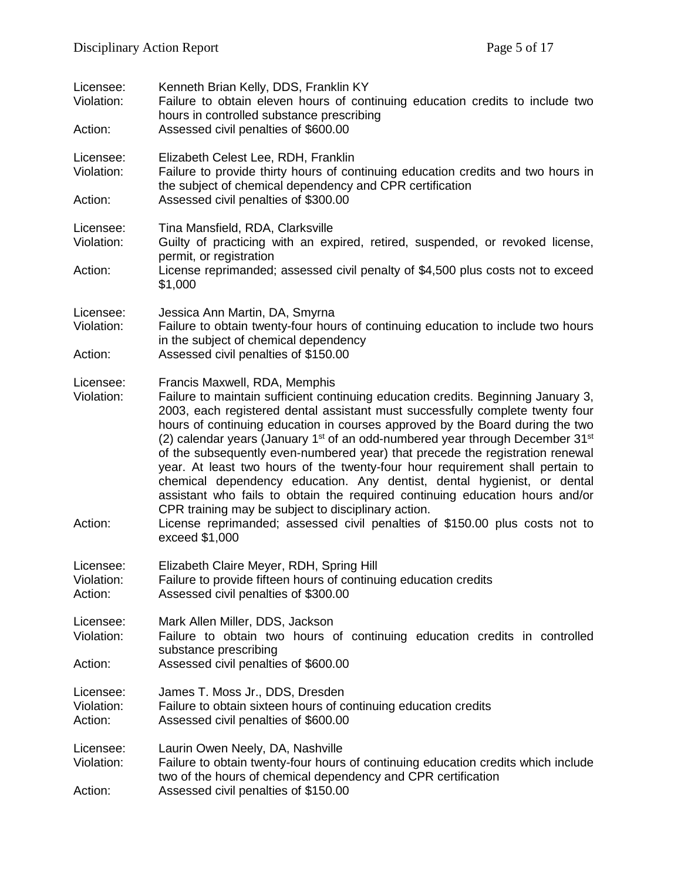| Licensee:<br>Violation:<br>Action: | Kenneth Brian Kelly, DDS, Franklin KY<br>Failure to obtain eleven hours of continuing education credits to include two<br>hours in controlled substance prescribing<br>Assessed civil penalties of \$600.00                                                                                                                                                                                                                                                                                                                                                                                                                                                                                                                                                                                                                                                                        |
|------------------------------------|------------------------------------------------------------------------------------------------------------------------------------------------------------------------------------------------------------------------------------------------------------------------------------------------------------------------------------------------------------------------------------------------------------------------------------------------------------------------------------------------------------------------------------------------------------------------------------------------------------------------------------------------------------------------------------------------------------------------------------------------------------------------------------------------------------------------------------------------------------------------------------|
| Licensee:<br>Violation:            | Elizabeth Celest Lee, RDH, Franklin<br>Failure to provide thirty hours of continuing education credits and two hours in<br>the subject of chemical dependency and CPR certification                                                                                                                                                                                                                                                                                                                                                                                                                                                                                                                                                                                                                                                                                                |
| Action:                            | Assessed civil penalties of \$300.00                                                                                                                                                                                                                                                                                                                                                                                                                                                                                                                                                                                                                                                                                                                                                                                                                                               |
| Licensee:<br>Violation:            | Tina Mansfield, RDA, Clarksville<br>Guilty of practicing with an expired, retired, suspended, or revoked license,<br>permit, or registration                                                                                                                                                                                                                                                                                                                                                                                                                                                                                                                                                                                                                                                                                                                                       |
| Action:                            | License reprimanded; assessed civil penalty of \$4,500 plus costs not to exceed<br>\$1,000                                                                                                                                                                                                                                                                                                                                                                                                                                                                                                                                                                                                                                                                                                                                                                                         |
| Licensee:<br>Violation:            | Jessica Ann Martin, DA, Smyrna<br>Failure to obtain twenty-four hours of continuing education to include two hours                                                                                                                                                                                                                                                                                                                                                                                                                                                                                                                                                                                                                                                                                                                                                                 |
| Action:                            | in the subject of chemical dependency<br>Assessed civil penalties of \$150.00                                                                                                                                                                                                                                                                                                                                                                                                                                                                                                                                                                                                                                                                                                                                                                                                      |
| Licensee:<br>Violation:<br>Action: | Francis Maxwell, RDA, Memphis<br>Failure to maintain sufficient continuing education credits. Beginning January 3,<br>2003, each registered dental assistant must successfully complete twenty four<br>hours of continuing education in courses approved by the Board during the two<br>(2) calendar years (January 1 <sup>st</sup> of an odd-numbered year through December 31 <sup>st</sup><br>of the subsequently even-numbered year) that precede the registration renewal<br>year. At least two hours of the twenty-four hour requirement shall pertain to<br>chemical dependency education. Any dentist, dental hygienist, or dental<br>assistant who fails to obtain the required continuing education hours and/or<br>CPR training may be subject to disciplinary action.<br>License reprimanded; assessed civil penalties of \$150.00 plus costs not to<br>exceed \$1,000 |
| Licensee:<br>Violation:<br>Action: | Elizabeth Claire Meyer, RDH, Spring Hill<br>Failure to provide fifteen hours of continuing education credits<br>Assessed civil penalties of \$300.00                                                                                                                                                                                                                                                                                                                                                                                                                                                                                                                                                                                                                                                                                                                               |
| Licensee:<br>Violation:            | Mark Allen Miller, DDS, Jackson<br>Failure to obtain two hours of continuing education credits in controlled<br>substance prescribing                                                                                                                                                                                                                                                                                                                                                                                                                                                                                                                                                                                                                                                                                                                                              |
| Action:                            | Assessed civil penalties of \$600.00                                                                                                                                                                                                                                                                                                                                                                                                                                                                                                                                                                                                                                                                                                                                                                                                                                               |
| Licensee:<br>Violation:<br>Action: | James T. Moss Jr., DDS, Dresden<br>Failure to obtain sixteen hours of continuing education credits<br>Assessed civil penalties of \$600.00                                                                                                                                                                                                                                                                                                                                                                                                                                                                                                                                                                                                                                                                                                                                         |
| Licensee:<br>Violation:<br>Action: | Laurin Owen Neely, DA, Nashville<br>Failure to obtain twenty-four hours of continuing education credits which include<br>two of the hours of chemical dependency and CPR certification<br>Assessed civil penalties of \$150.00                                                                                                                                                                                                                                                                                                                                                                                                                                                                                                                                                                                                                                                     |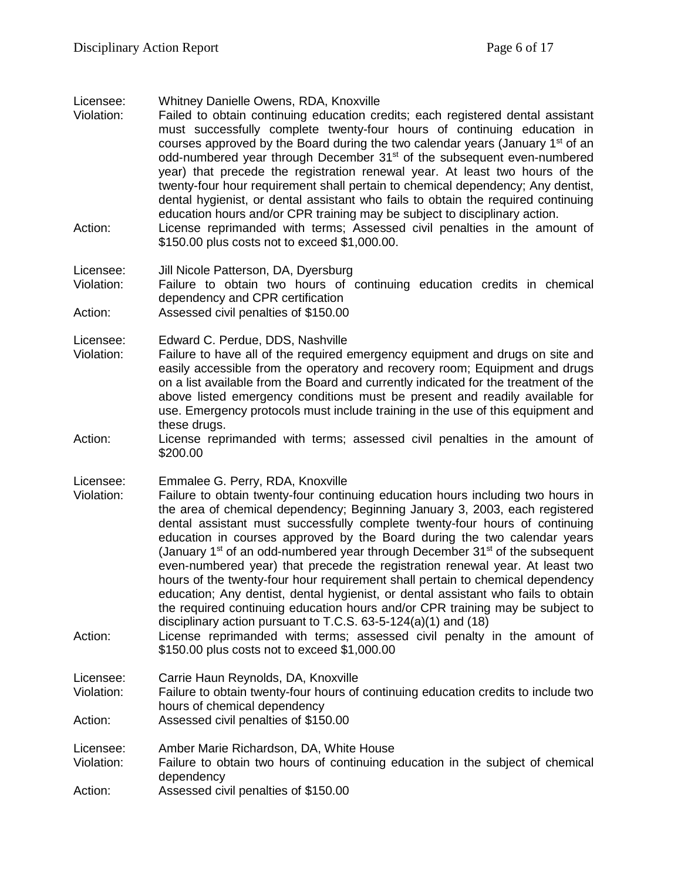Licensee: Whitney Danielle Owens, RDA, Knoxville

- Violation: Failed to obtain continuing education credits; each registered dental assistant must successfully complete twenty-four hours of continuing education in courses approved by the Board during the two calendar years (January 1<sup>st</sup> of an odd-numbered year through December  $31<sup>st</sup>$  of the subsequent even-numbered year) that precede the registration renewal year. At least two hours of the twenty-four hour requirement shall pertain to chemical dependency; Any dentist, dental hygienist, or dental assistant who fails to obtain the required continuing education hours and/or CPR training may be subject to disciplinary action. Action: License reprimanded with terms; Assessed civil penalties in the amount of
- \$150.00 plus costs not to exceed \$1,000.00. Licensee: Jill Nicole Patterson, DA, Dyersburg
- Violation: Failure to obtain two hours of continuing education credits in chemical dependency and CPR certification
- Action: Assessed civil penalties of \$150.00

Licensee: Edward C. Perdue, DDS, Nashville

- Violation: Failure to have all of the required emergency equipment and drugs on site and easily accessible from the operatory and recovery room; Equipment and drugs on a list available from the Board and currently indicated for the treatment of the above listed emergency conditions must be present and readily available for use. Emergency protocols must include training in the use of this equipment and these drugs.
- Action: License reprimanded with terms; assessed civil penalties in the amount of \$200.00

Licensee: Emmalee G. Perry, RDA, Knoxville

- Violation: Failure to obtain twenty-four continuing education hours including two hours in the area of chemical dependency; Beginning January 3, 2003, each registered dental assistant must successfully complete twenty-four hours of continuing education in courses approved by the Board during the two calendar years (January 1st of an odd-numbered year through December  $31<sup>st</sup>$  of the subsequent even-numbered year) that precede the registration renewal year. At least two hours of the twenty-four hour requirement shall pertain to chemical dependency education; Any dentist, dental hygienist, or dental assistant who fails to obtain the required continuing education hours and/or CPR training may be subject to disciplinary action pursuant to T.C.S. 63-5-124(a)(1) and (18)
- Action: License reprimanded with terms; assessed civil penalty in the amount of \$150.00 plus costs not to exceed \$1,000.00

Licensee: Carrie Haun Reynolds, DA, Knoxville

- Violation: Failure to obtain twenty-four hours of continuing education credits to include two hours of chemical dependency
- Action: Assessed civil penalties of \$150.00
- Licensee: Amber Marie Richardson, DA, White House
- Violation: Failure to obtain two hours of continuing education in the subject of chemical dependency
- Action: Assessed civil penalties of \$150.00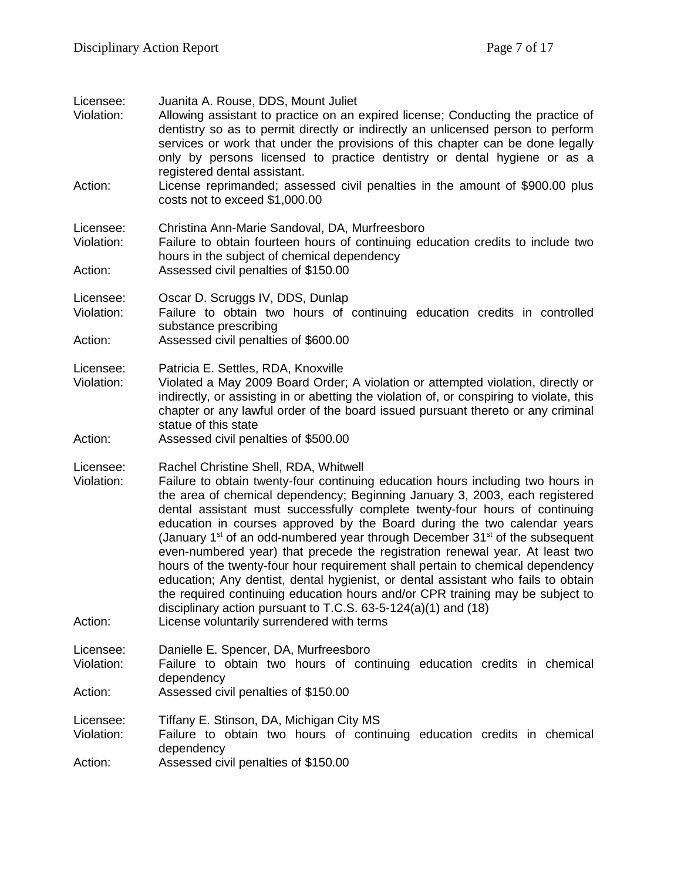| Licensee:<br>Violation:            | Juanita A. Rouse, DDS, Mount Juliet<br>Allowing assistant to practice on an expired license; Conducting the practice of<br>dentistry so as to permit directly or indirectly an unlicensed person to perform<br>services or work that under the provisions of this chapter can be done legally<br>only by persons licensed to practice dentistry or dental hygiene or as a<br>registered dental assistant.                                                                                                                                                                                                                                                                                                                                                                                                                                                                                                                              |
|------------------------------------|----------------------------------------------------------------------------------------------------------------------------------------------------------------------------------------------------------------------------------------------------------------------------------------------------------------------------------------------------------------------------------------------------------------------------------------------------------------------------------------------------------------------------------------------------------------------------------------------------------------------------------------------------------------------------------------------------------------------------------------------------------------------------------------------------------------------------------------------------------------------------------------------------------------------------------------|
| Action:                            | License reprimanded; assessed civil penalties in the amount of \$900.00 plus<br>costs not to exceed \$1,000.00                                                                                                                                                                                                                                                                                                                                                                                                                                                                                                                                                                                                                                                                                                                                                                                                                         |
| Licensee:<br>Violation:            | Christina Ann-Marie Sandoval, DA, Murfreesboro<br>Failure to obtain fourteen hours of continuing education credits to include two<br>hours in the subject of chemical dependency                                                                                                                                                                                                                                                                                                                                                                                                                                                                                                                                                                                                                                                                                                                                                       |
| Action:                            | Assessed civil penalties of \$150.00                                                                                                                                                                                                                                                                                                                                                                                                                                                                                                                                                                                                                                                                                                                                                                                                                                                                                                   |
| Licensee:<br>Violation:            | Oscar D. Scruggs IV, DDS, Dunlap<br>Failure to obtain two hours of continuing education credits in controlled<br>substance prescribing                                                                                                                                                                                                                                                                                                                                                                                                                                                                                                                                                                                                                                                                                                                                                                                                 |
| Action:                            | Assessed civil penalties of \$600.00                                                                                                                                                                                                                                                                                                                                                                                                                                                                                                                                                                                                                                                                                                                                                                                                                                                                                                   |
| Licensee:<br>Violation:            | Patricia E. Settles, RDA, Knoxville<br>Violated a May 2009 Board Order; A violation or attempted violation, directly or<br>indirectly, or assisting in or abetting the violation of, or conspiring to violate, this<br>chapter or any lawful order of the board issued pursuant thereto or any criminal<br>statue of this state                                                                                                                                                                                                                                                                                                                                                                                                                                                                                                                                                                                                        |
| Action:                            | Assessed civil penalties of \$500.00                                                                                                                                                                                                                                                                                                                                                                                                                                                                                                                                                                                                                                                                                                                                                                                                                                                                                                   |
| Licensee:<br>Violation:<br>Action: | Rachel Christine Shell, RDA, Whitwell<br>Failure to obtain twenty-four continuing education hours including two hours in<br>the area of chemical dependency; Beginning January 3, 2003, each registered<br>dental assistant must successfully complete twenty-four hours of continuing<br>education in courses approved by the Board during the two calendar years<br>(January 1 <sup>st</sup> of an odd-numbered year through December 31 <sup>st</sup> of the subsequent<br>even-numbered year) that precede the registration renewal year. At least two<br>hours of the twenty-four hour requirement shall pertain to chemical dependency<br>education; Any dentist, dental hygienist, or dental assistant who fails to obtain<br>the required continuing education hours and/or CPR training may be subject to<br>disciplinary action pursuant to T.C.S. $63-5-124(a)(1)$ and $(18)$<br>License voluntarily surrendered with terms |
| Licensee:<br>Violation:            | Danielle E. Spencer, DA, Murfreesboro<br>Failure to obtain two hours of continuing education credits in chemical                                                                                                                                                                                                                                                                                                                                                                                                                                                                                                                                                                                                                                                                                                                                                                                                                       |
| Action:                            | dependency<br>Assessed civil penalties of \$150.00                                                                                                                                                                                                                                                                                                                                                                                                                                                                                                                                                                                                                                                                                                                                                                                                                                                                                     |
| Licensee:<br>Violation:<br>Action: | Tiffany E. Stinson, DA, Michigan City MS<br>Failure to obtain two hours of continuing education credits in chemical<br>dependency<br>Assessed civil penalties of \$150.00                                                                                                                                                                                                                                                                                                                                                                                                                                                                                                                                                                                                                                                                                                                                                              |
|                                    |                                                                                                                                                                                                                                                                                                                                                                                                                                                                                                                                                                                                                                                                                                                                                                                                                                                                                                                                        |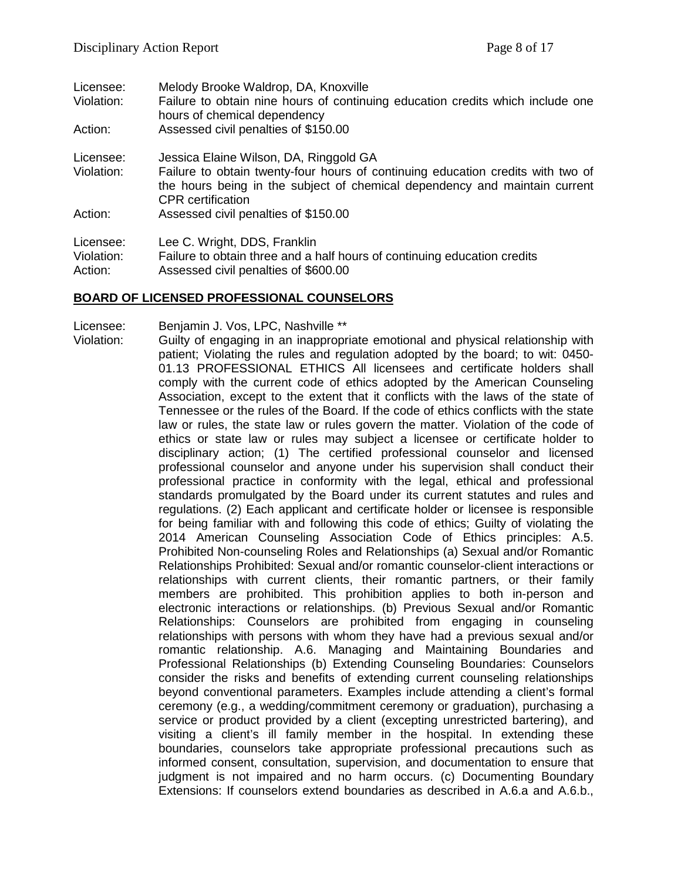| Licensee:  | Melody Brooke Waldrop, DA, Knoxville                                                                                                                                                      |
|------------|-------------------------------------------------------------------------------------------------------------------------------------------------------------------------------------------|
| Violation: | Failure to obtain nine hours of continuing education credits which include one<br>hours of chemical dependency                                                                            |
| Action:    | Assessed civil penalties of \$150.00                                                                                                                                                      |
| Licensee:  | Jessica Elaine Wilson, DA, Ringgold GA                                                                                                                                                    |
| Violation: | Failure to obtain twenty-four hours of continuing education credits with two of<br>the hours being in the subject of chemical dependency and maintain current<br><b>CPR</b> certification |
| Action:    | Assessed civil penalties of \$150.00                                                                                                                                                      |
| Licensee:  | Lee C. Wright, DDS, Franklin                                                                                                                                                              |
| Violation: | Failure to obtain three and a half hours of continuing education credits                                                                                                                  |
| Action:    | Assessed civil penalties of \$600.00                                                                                                                                                      |

#### **BOARD OF LICENSED PROFESSIONAL COUNSELORS**

Licensee: Benjamin J. Vos, LPC, Nashville \*\*

Violation: Guilty of engaging in an inappropriate emotional and physical relationship with patient; Violating the rules and regulation adopted by the board; to wit: 0450- 01.13 PROFESSIONAL ETHICS All licensees and certificate holders shall comply with the current code of ethics adopted by the American Counseling Association, except to the extent that it conflicts with the laws of the state of Tennessee or the rules of the Board. If the code of ethics conflicts with the state law or rules, the state law or rules govern the matter. Violation of the code of ethics or state law or rules may subject a licensee or certificate holder to disciplinary action; (1) The certified professional counselor and licensed professional counselor and anyone under his supervision shall conduct their professional practice in conformity with the legal, ethical and professional standards promulgated by the Board under its current statutes and rules and regulations. (2) Each applicant and certificate holder or licensee is responsible for being familiar with and following this code of ethics; Guilty of violating the 2014 American Counseling Association Code of Ethics principles: A.5. Prohibited Non-counseling Roles and Relationships (a) Sexual and/or Romantic Relationships Prohibited: Sexual and/or romantic counselor-client interactions or relationships with current clients, their romantic partners, or their family members are prohibited. This prohibition applies to both in-person and electronic interactions or relationships. (b) Previous Sexual and/or Romantic Relationships: Counselors are prohibited from engaging in counseling relationships with persons with whom they have had a previous sexual and/or romantic relationship. A.6. Managing and Maintaining Boundaries and Professional Relationships (b) Extending Counseling Boundaries: Counselors consider the risks and benefits of extending current counseling relationships beyond conventional parameters. Examples include attending a client's formal ceremony (e.g., a wedding/commitment ceremony or graduation), purchasing a service or product provided by a client (excepting unrestricted bartering), and visiting a client's ill family member in the hospital. In extending these boundaries, counselors take appropriate professional precautions such as informed consent, consultation, supervision, and documentation to ensure that iudgment is not impaired and no harm occurs. (c) Documenting Boundary Extensions: If counselors extend boundaries as described in A.6.a and A.6.b.,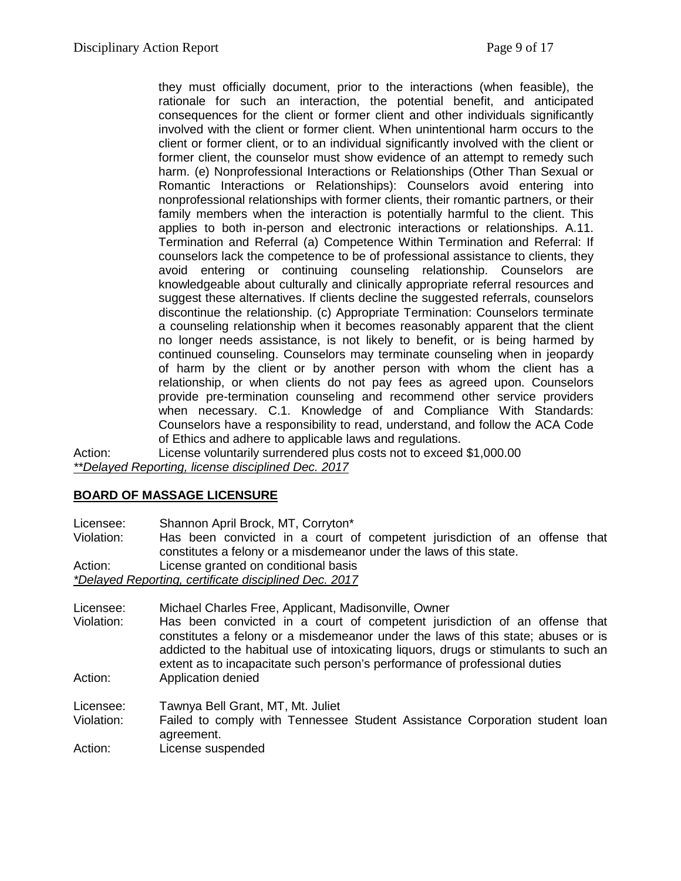they must officially document, prior to the interactions (when feasible), the rationale for such an interaction, the potential benefit, and anticipated consequences for the client or former client and other individuals significantly involved with the client or former client. When unintentional harm occurs to the client or former client, or to an individual significantly involved with the client or former client, the counselor must show evidence of an attempt to remedy such harm. (e) Nonprofessional Interactions or Relationships (Other Than Sexual or Romantic Interactions or Relationships): Counselors avoid entering into nonprofessional relationships with former clients, their romantic partners, or their family members when the interaction is potentially harmful to the client. This applies to both in-person and electronic interactions or relationships. A.11. Termination and Referral (a) Competence Within Termination and Referral: If counselors lack the competence to be of professional assistance to clients, they avoid entering or continuing counseling relationship. Counselors are knowledgeable about culturally and clinically appropriate referral resources and suggest these alternatives. If clients decline the suggested referrals, counselors discontinue the relationship. (c) Appropriate Termination: Counselors terminate a counseling relationship when it becomes reasonably apparent that the client no longer needs assistance, is not likely to benefit, or is being harmed by continued counseling. Counselors may terminate counseling when in jeopardy of harm by the client or by another person with whom the client has a relationship, or when clients do not pay fees as agreed upon. Counselors provide pre-termination counseling and recommend other service providers when necessary. C.1. Knowledge of and Compliance With Standards: Counselors have a responsibility to read, understand, and follow the ACA Code of Ethics and adhere to applicable laws and regulations.

Action: License voluntarily surrendered plus costs not to exceed \$1,000.00 *\*\*Delayed Reporting, license disciplined Dec. 2017*

## **BOARD OF MASSAGE LICENSURE**

Licensee: Shannon April Brock, MT, Corryton\* Violation: Has been convicted in a court of competent jurisdiction of an offense that constitutes a felony or a misdemeanor under the laws of this state. Action: License granted on conditional basis

*\*Delayed Reporting, certificate disciplined Dec. 2017*

| Licensee:  | Michael Charles Free, Applicant, Madisonville, Owner                                                                                                                                                                                                                                                                                 |
|------------|--------------------------------------------------------------------------------------------------------------------------------------------------------------------------------------------------------------------------------------------------------------------------------------------------------------------------------------|
| Violation: | Has been convicted in a court of competent jurisdiction of an offense that<br>constitutes a felony or a misdemeanor under the laws of this state; abuses or is<br>addicted to the habitual use of intoxicating liquors, drugs or stimulants to such an<br>extent as to incapacitate such person's performance of professional duties |
| Action:    | Application denied                                                                                                                                                                                                                                                                                                                   |
| Licensee:  | Tawnya Bell Grant, MT, Mt. Juliet                                                                                                                                                                                                                                                                                                    |
| Violation: | Failed to comply with Tennessee Student Assistance Corporation student loan<br>agreement.                                                                                                                                                                                                                                            |

Action: License suspended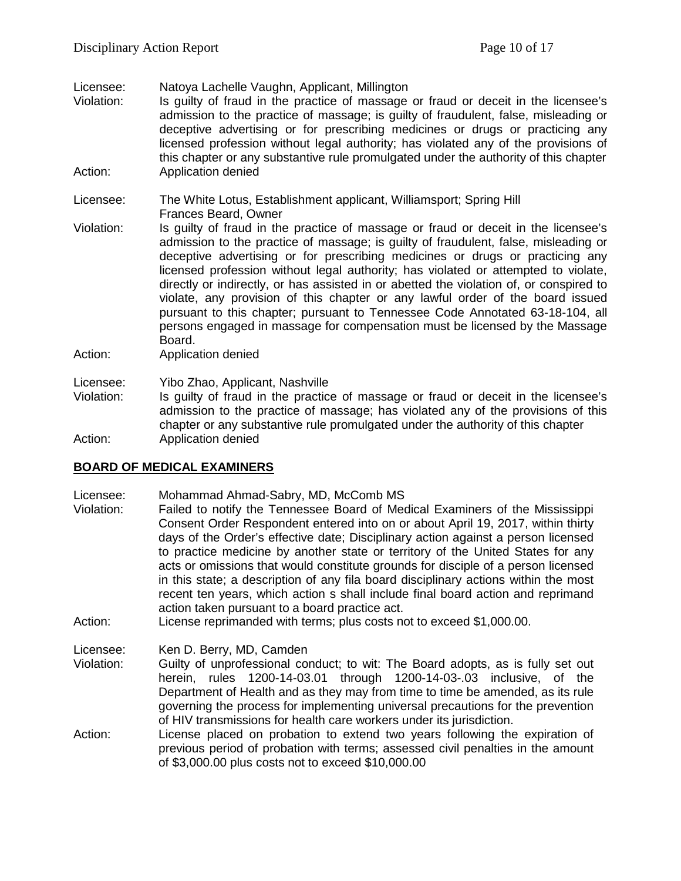Licensee: Natoya Lachelle Vaughn, Applicant, Millington

Is guilty of fraud in the practice of massage or fraud or deceit in the licensee's admission to the practice of massage; is guilty of fraudulent, false, misleading or deceptive advertising or for prescribing medicines or drugs or practicing any licensed profession without legal authority; has violated any of the provisions of this chapter or any substantive rule promulgated under the authority of this chapter Action: Application denied

Licensee: The White Lotus, Establishment applicant, Williamsport; Spring Hill Frances Beard, Owner

- Violation: Is guilty of fraud in the practice of massage or fraud or deceit in the licensee's admission to the practice of massage; is guilty of fraudulent, false, misleading or deceptive advertising or for prescribing medicines or drugs or practicing any licensed profession without legal authority; has violated or attempted to violate, directly or indirectly, or has assisted in or abetted the violation of, or conspired to violate, any provision of this chapter or any lawful order of the board issued pursuant to this chapter; pursuant to Tennessee Code Annotated 63-18-104, all persons engaged in massage for compensation must be licensed by the Massage Board.
- Action: Application denied

Licensee: Yibo Zhao, Applicant, Nashville

Violation: Is guilty of fraud in the practice of massage or fraud or deceit in the licensee's admission to the practice of massage; has violated any of the provisions of this chapter or any substantive rule promulgated under the authority of this chapter Action: Application denied

## **BOARD OF MEDICAL EXAMINERS**

- Licensee: Mohammad Ahmad-Sabry, MD, McComb MS
- Violation: Failed to notify the Tennessee Board of Medical Examiners of the Mississippi Consent Order Respondent entered into on or about April 19, 2017, within thirty days of the Order's effective date; Disciplinary action against a person licensed to practice medicine by another state or territory of the United States for any acts or omissions that would constitute grounds for disciple of a person licensed in this state; a description of any fila board disciplinary actions within the most recent ten years, which action s shall include final board action and reprimand action taken pursuant to a board practice act.

Action: License reprimanded with terms; plus costs not to exceed \$1,000.00.

Licensee: Ken D. Berry, MD, Camden

- Violation: Guilty of unprofessional conduct; to wit: The Board adopts, as is fully set out herein, rules 1200-14-03.01 through 1200-14-03-.03 inclusive, of the Department of Health and as they may from time to time be amended, as its rule governing the process for implementing universal precautions for the prevention of HIV transmissions for health care workers under its jurisdiction.
- Action: License placed on probation to extend two years following the expiration of previous period of probation with terms; assessed civil penalties in the amount of \$3,000.00 plus costs not to exceed \$10,000.00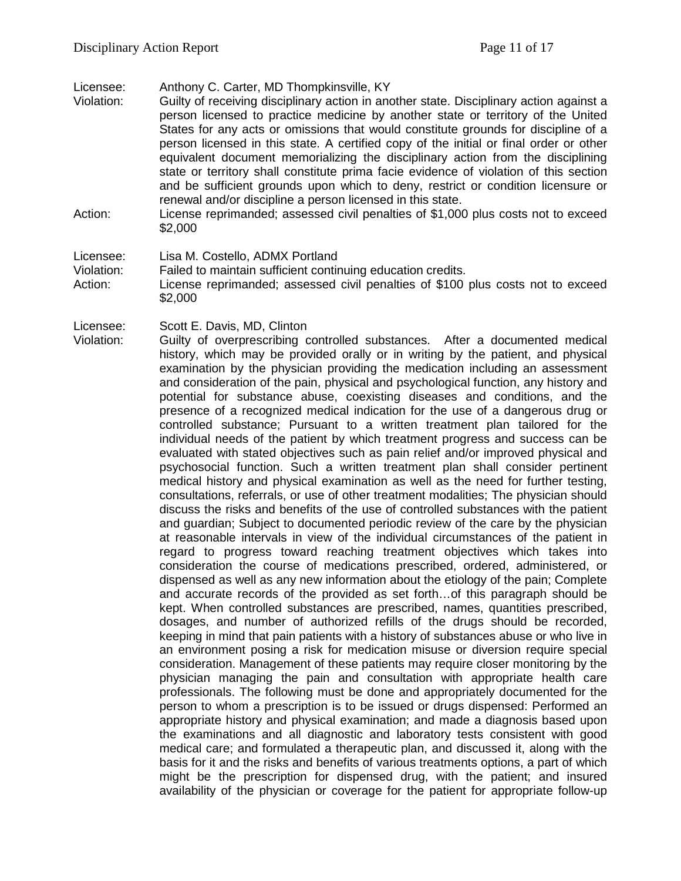Licensee: Anthony C. Carter, MD Thompkinsville, KY<br>Violation: Guilty of receiving disciplinary action in and

- Guilty of receiving disciplinary action in another state. Disciplinary action against a person licensed to practice medicine by another state or territory of the United States for any acts or omissions that would constitute grounds for discipline of a person licensed in this state. A certified copy of the initial or final order or other equivalent document memorializing the disciplinary action from the disciplining state or territory shall constitute prima facie evidence of violation of this section and be sufficient grounds upon which to deny, restrict or condition licensure or renewal and/or discipline a person licensed in this state.
- Action: License reprimanded; assessed civil penalties of \$1,000 plus costs not to exceed \$2,000

Licensee: Lisa M. Costello, ADMX Portland

Violation: Failed to maintain sufficient continuing education credits. Action: License reprimanded; assessed civil penalties of \$100 plus costs not to exceed \$2,000

Licensee: Scott E. Davis, MD, Clinton

Violation: Guilty of overprescribing controlled substances. After a documented medical history, which may be provided orally or in writing by the patient, and physical examination by the physician providing the medication including an assessment and consideration of the pain, physical and psychological function, any history and potential for substance abuse, coexisting diseases and conditions, and the presence of a recognized medical indication for the use of a dangerous drug or controlled substance; Pursuant to a written treatment plan tailored for the individual needs of the patient by which treatment progress and success can be evaluated with stated objectives such as pain relief and/or improved physical and psychosocial function. Such a written treatment plan shall consider pertinent medical history and physical examination as well as the need for further testing, consultations, referrals, or use of other treatment modalities; The physician should discuss the risks and benefits of the use of controlled substances with the patient and guardian; Subject to documented periodic review of the care by the physician at reasonable intervals in view of the individual circumstances of the patient in regard to progress toward reaching treatment objectives which takes into consideration the course of medications prescribed, ordered, administered, or dispensed as well as any new information about the etiology of the pain; Complete and accurate records of the provided as set forth…of this paragraph should be kept. When controlled substances are prescribed, names, quantities prescribed, dosages, and number of authorized refills of the drugs should be recorded, keeping in mind that pain patients with a history of substances abuse or who live in an environment posing a risk for medication misuse or diversion require special consideration. Management of these patients may require closer monitoring by the physician managing the pain and consultation with appropriate health care professionals. The following must be done and appropriately documented for the person to whom a prescription is to be issued or drugs dispensed: Performed an appropriate history and physical examination; and made a diagnosis based upon the examinations and all diagnostic and laboratory tests consistent with good medical care; and formulated a therapeutic plan, and discussed it, along with the basis for it and the risks and benefits of various treatments options, a part of which might be the prescription for dispensed drug, with the patient; and insured availability of the physician or coverage for the patient for appropriate follow-up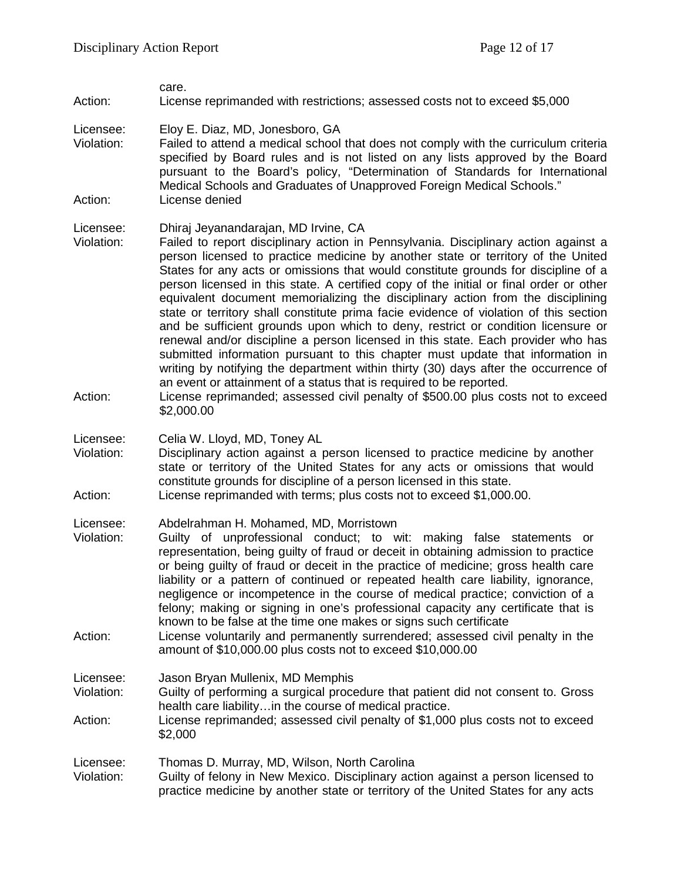| Action:                            | care.<br>License reprimanded with restrictions; assessed costs not to exceed \$5,000                                                                                                                                                                                                                                                                                                                                                                                                                                                                                                                                                                                                                                                                                                                                                                                                                                                                                                                                                                                                                  |
|------------------------------------|-------------------------------------------------------------------------------------------------------------------------------------------------------------------------------------------------------------------------------------------------------------------------------------------------------------------------------------------------------------------------------------------------------------------------------------------------------------------------------------------------------------------------------------------------------------------------------------------------------------------------------------------------------------------------------------------------------------------------------------------------------------------------------------------------------------------------------------------------------------------------------------------------------------------------------------------------------------------------------------------------------------------------------------------------------------------------------------------------------|
| Licensee:<br>Violation:<br>Action: | Eloy E. Diaz, MD, Jonesboro, GA<br>Failed to attend a medical school that does not comply with the curriculum criteria<br>specified by Board rules and is not listed on any lists approved by the Board<br>pursuant to the Board's policy, "Determination of Standards for International<br>Medical Schools and Graduates of Unapproved Foreign Medical Schools."<br>License denied                                                                                                                                                                                                                                                                                                                                                                                                                                                                                                                                                                                                                                                                                                                   |
| Licensee:<br>Violation:<br>Action: | Dhiraj Jeyanandarajan, MD Irvine, CA<br>Failed to report disciplinary action in Pennsylvania. Disciplinary action against a<br>person licensed to practice medicine by another state or territory of the United<br>States for any acts or omissions that would constitute grounds for discipline of a<br>person licensed in this state. A certified copy of the initial or final order or other<br>equivalent document memorializing the disciplinary action from the disciplining<br>state or territory shall constitute prima facie evidence of violation of this section<br>and be sufficient grounds upon which to deny, restrict or condition licensure or<br>renewal and/or discipline a person licensed in this state. Each provider who has<br>submitted information pursuant to this chapter must update that information in<br>writing by notifying the department within thirty (30) days after the occurrence of<br>an event or attainment of a status that is required to be reported.<br>License reprimanded; assessed civil penalty of \$500.00 plus costs not to exceed<br>\$2,000.00 |
| Licensee:<br>Violation:<br>Action: | Celia W. Lloyd, MD, Toney AL<br>Disciplinary action against a person licensed to practice medicine by another<br>state or territory of the United States for any acts or omissions that would<br>constitute grounds for discipline of a person licensed in this state.<br>License reprimanded with terms; plus costs not to exceed \$1,000.00.                                                                                                                                                                                                                                                                                                                                                                                                                                                                                                                                                                                                                                                                                                                                                        |
| Licensee:<br>Violation:<br>Action: | Abdelrahman H. Mohamed, MD, Morristown<br>Guilty of unprofessional conduct; to wit: making false statements<br>or<br>representation, being guilty of fraud or deceit in obtaining admission to practice<br>or being guilty of fraud or deceit in the practice of medicine; gross health care<br>liability or a pattern of continued or repeated health care liability, ignorance,<br>negligence or incompetence in the course of medical practice; conviction of a<br>felony; making or signing in one's professional capacity any certificate that is<br>known to be false at the time one makes or signs such certificate<br>License voluntarily and permanently surrendered; assessed civil penalty in the<br>amount of \$10,000.00 plus costs not to exceed \$10,000.00                                                                                                                                                                                                                                                                                                                           |
| Licensee:<br>Violation:<br>Action: | Jason Bryan Mullenix, MD Memphis<br>Guilty of performing a surgical procedure that patient did not consent to. Gross<br>health care liabilityin the course of medical practice.<br>License reprimanded; assessed civil penalty of \$1,000 plus costs not to exceed<br>\$2,000                                                                                                                                                                                                                                                                                                                                                                                                                                                                                                                                                                                                                                                                                                                                                                                                                         |
| Licensee:<br>Violation:            | Thomas D. Murray, MD, Wilson, North Carolina<br>Guilty of felony in New Mexico. Disciplinary action against a person licensed to<br>practice medicine by another state or territory of the United States for any acts                                                                                                                                                                                                                                                                                                                                                                                                                                                                                                                                                                                                                                                                                                                                                                                                                                                                                 |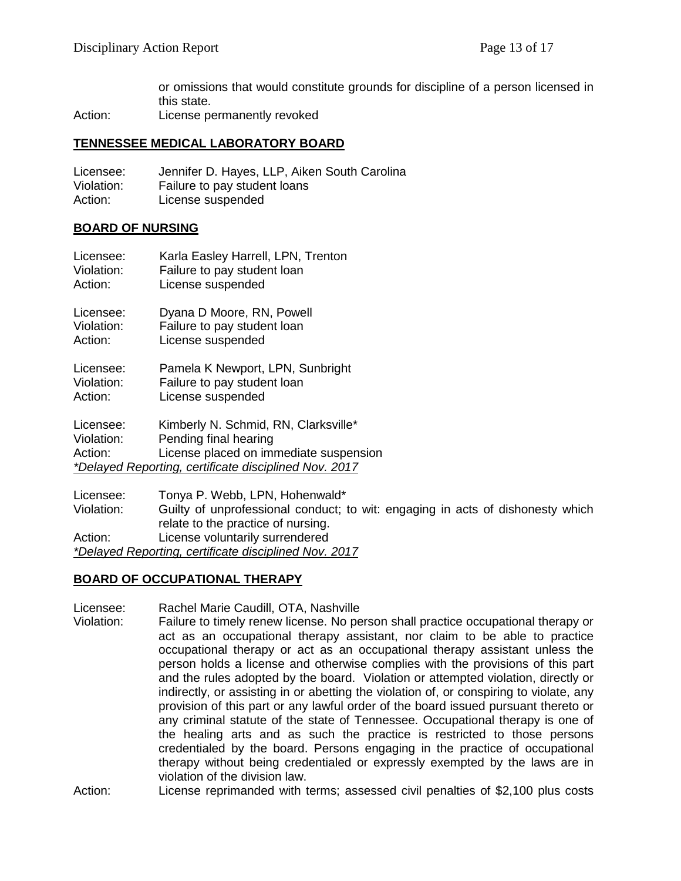or omissions that would constitute grounds for discipline of a person licensed in this state.

Action: License permanently revoked

### **TENNESSEE MEDICAL LABORATORY BOARD**

Licensee: Jennifer D. Hayes, LLP, Aiken South Carolina Violation: Failure to pay student loans Action: License suspended

#### **BOARD OF NURSING**

| Licensee:                          | Karla Easley Harrell, LPN, Trenton                                                                                                                               |
|------------------------------------|------------------------------------------------------------------------------------------------------------------------------------------------------------------|
| Violation:                         | Failure to pay student loan                                                                                                                                      |
| Action:                            | License suspended                                                                                                                                                |
| Licensee:                          | Dyana D Moore, RN, Powell                                                                                                                                        |
| Violation:                         | Failure to pay student loan                                                                                                                                      |
| Action:                            | License suspended                                                                                                                                                |
| Licensee:                          | Pamela K Newport, LPN, Sunbright                                                                                                                                 |
| Violation:                         | Failure to pay student loan                                                                                                                                      |
| Action:                            | License suspended                                                                                                                                                |
| Licensee:<br>Violation:<br>Action: | Kimberly N. Schmid, RN, Clarksville*<br>Pending final hearing<br>License placed on immediate suspension<br>*Delayed Reporting, certificate disciplined Nov. 2017 |
| Licensee:                          | Tonya P. Webb, LPN, Hohenwald*                                                                                                                                   |

Violation: Guilty of unprofessional conduct; to wit: engaging in acts of dishonesty which relate to the practice of nursing. Action: License voluntarily surrendered *\*Delayed Reporting, certificate disciplined Nov. 2017*

#### **BOARD OF OCCUPATIONAL THERAPY**

Licensee: Rachel Marie Caudill, OTA, Nashville<br>Violation: Failure to timely renew license. No pe

Failure to timely renew license. No person shall practice occupational therapy or act as an occupational therapy assistant, nor claim to be able to practice occupational therapy or act as an occupational therapy assistant unless the person holds a license and otherwise complies with the provisions of this part and the rules adopted by the board. Violation or attempted violation, directly or indirectly, or assisting in or abetting the violation of, or conspiring to violate, any provision of this part or any lawful order of the board issued pursuant thereto or any criminal statute of the state of Tennessee. Occupational therapy is one of the healing arts and as such the practice is restricted to those persons credentialed by the board. Persons engaging in the practice of occupational therapy without being credentialed or expressly exempted by the laws are in violation of the division law.

Action: License reprimanded with terms; assessed civil penalties of \$2,100 plus costs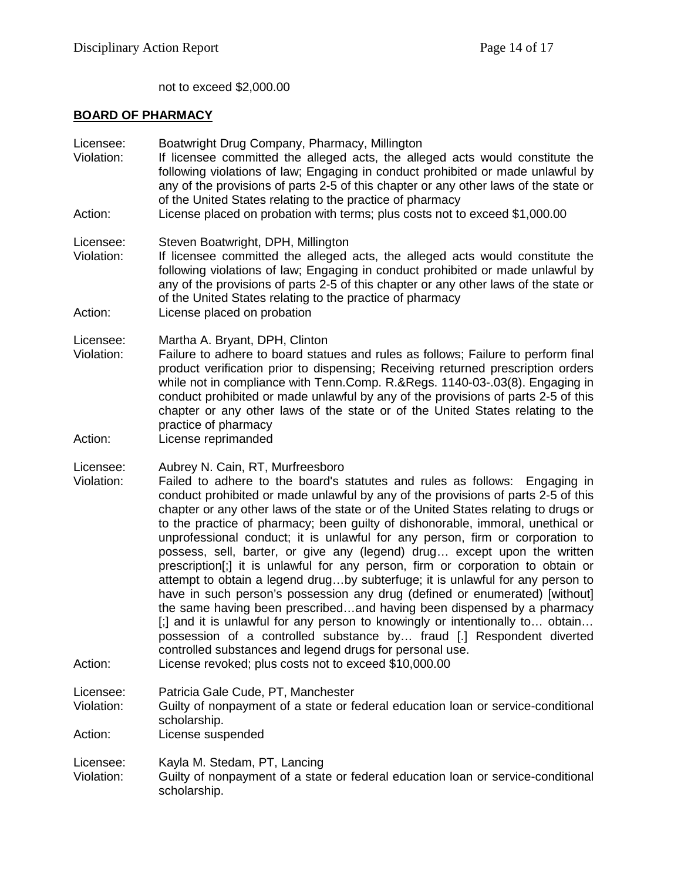not to exceed \$2,000.00

# **BOARD OF PHARMACY**

| Licensee:<br>Violation:<br>Action: | Boatwright Drug Company, Pharmacy, Millington<br>If licensee committed the alleged acts, the alleged acts would constitute the<br>following violations of law; Engaging in conduct prohibited or made unlawful by<br>any of the provisions of parts 2-5 of this chapter or any other laws of the state or<br>of the United States relating to the practice of pharmacy<br>License placed on probation with terms; plus costs not to exceed \$1,000.00                                                                                                                                                                                                                                                                                                                                                                                                                                                                                                                                                                                                                                                                                                      |
|------------------------------------|------------------------------------------------------------------------------------------------------------------------------------------------------------------------------------------------------------------------------------------------------------------------------------------------------------------------------------------------------------------------------------------------------------------------------------------------------------------------------------------------------------------------------------------------------------------------------------------------------------------------------------------------------------------------------------------------------------------------------------------------------------------------------------------------------------------------------------------------------------------------------------------------------------------------------------------------------------------------------------------------------------------------------------------------------------------------------------------------------------------------------------------------------------|
| Licensee:<br>Violation:<br>Action: | Steven Boatwright, DPH, Millington<br>If licensee committed the alleged acts, the alleged acts would constitute the<br>following violations of law; Engaging in conduct prohibited or made unlawful by<br>any of the provisions of parts 2-5 of this chapter or any other laws of the state or<br>of the United States relating to the practice of pharmacy<br>License placed on probation                                                                                                                                                                                                                                                                                                                                                                                                                                                                                                                                                                                                                                                                                                                                                                 |
| Licensee:<br>Violation:<br>Action: | Martha A. Bryant, DPH, Clinton<br>Failure to adhere to board statues and rules as follows; Failure to perform final<br>product verification prior to dispensing; Receiving returned prescription orders<br>while not in compliance with Tenn.Comp. R.&Regs. 1140-03-.03(8). Engaging in<br>conduct prohibited or made unlawful by any of the provisions of parts 2-5 of this<br>chapter or any other laws of the state or of the United States relating to the<br>practice of pharmacy<br>License reprimanded                                                                                                                                                                                                                                                                                                                                                                                                                                                                                                                                                                                                                                              |
| Licensee:<br>Violation:<br>Action: | Aubrey N. Cain, RT, Murfreesboro<br>Failed to adhere to the board's statutes and rules as follows:<br>Engaging in<br>conduct prohibited or made unlawful by any of the provisions of parts 2-5 of this<br>chapter or any other laws of the state or of the United States relating to drugs or<br>to the practice of pharmacy; been guilty of dishonorable, immoral, unethical or<br>unprofessional conduct; it is unlawful for any person, firm or corporation to<br>possess, sell, barter, or give any (legend) drug except upon the written<br>prescription[;] it is unlawful for any person, firm or corporation to obtain or<br>attempt to obtain a legend drugby subterfuge; it is unlawful for any person to<br>have in such person's possession any drug (defined or enumerated) [without]<br>the same having been prescribedand having been dispensed by a pharmacy<br>[;] and it is unlawful for any person to knowingly or intentionally to obtain<br>possession of a controlled substance by fraud [.] Respondent diverted<br>controlled substances and legend drugs for personal use.<br>License revoked; plus costs not to exceed \$10,000.00 |
| Licensee:<br>Violation:            | Patricia Gale Cude, PT, Manchester<br>Guilty of nonpayment of a state or federal education loan or service-conditional<br>scholarship.                                                                                                                                                                                                                                                                                                                                                                                                                                                                                                                                                                                                                                                                                                                                                                                                                                                                                                                                                                                                                     |
| Action:                            | License suspended                                                                                                                                                                                                                                                                                                                                                                                                                                                                                                                                                                                                                                                                                                                                                                                                                                                                                                                                                                                                                                                                                                                                          |
| Licensee:<br>Violation:            | Kayla M. Stedam, PT, Lancing<br>Guilty of nonpayment of a state or federal education loan or service-conditional<br>scholarship.                                                                                                                                                                                                                                                                                                                                                                                                                                                                                                                                                                                                                                                                                                                                                                                                                                                                                                                                                                                                                           |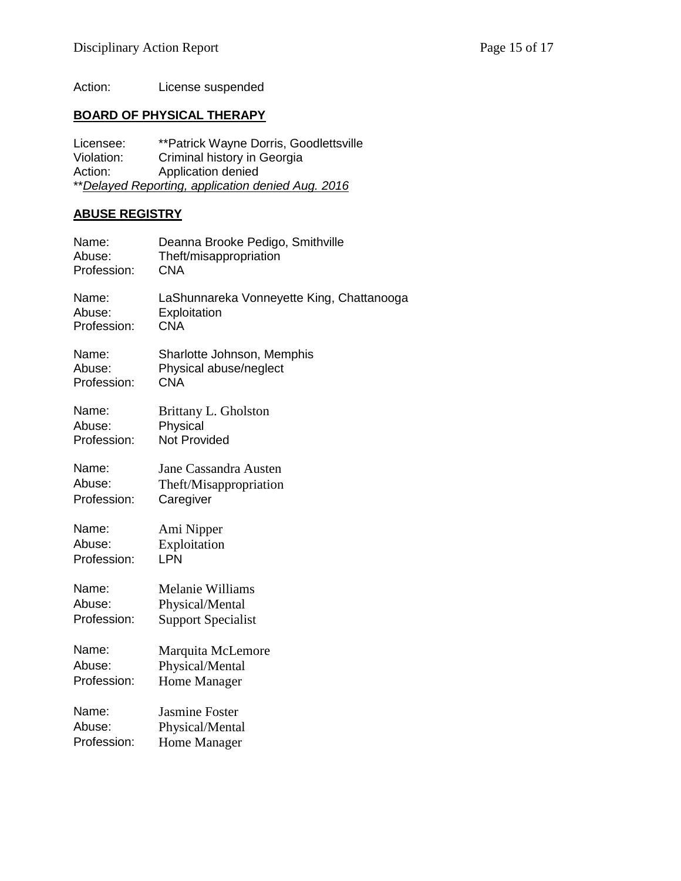Action: License suspended

## **BOARD OF PHYSICAL THERAPY**

Licensee: \*\*Patrick Wayne Dorris, Goodlettsville Violation: Criminal history in Georgia Action: Application denied \*\**Delayed Reporting, application denied Aug. 2016*

## **ABUSE REGISTRY**

| Name:       | Deanna Brooke Pedigo, Smithville          |
|-------------|-------------------------------------------|
| Abuse:      | Theft/misappropriation                    |
| Profession: | CNA                                       |
| Name:       | LaShunnareka Vonneyette King, Chattanooga |
| Abuse:      | Exploitation                              |
| Profession: | <b>CNA</b>                                |
| Name:       | Sharlotte Johnson, Memphis                |
| Abuse:      | Physical abuse/neglect                    |
| Profession: | <b>CNA</b>                                |
| Name:       | Brittany L. Gholston                      |
| Abuse:      | Physical                                  |
| Profession: | <b>Not Provided</b>                       |
| Name:       | Jane Cassandra Austen                     |
| Abuse:      | Theft/Misappropriation                    |
| Profession: | Caregiver                                 |
| Name:       | Ami Nipper                                |
| Abuse:      | Exploitation                              |
| Profession: | LPN                                       |
| Name:       | Melanie Williams                          |
| Abuse:      | Physical/Mental                           |
| Profession: | <b>Support Specialist</b>                 |
| Name:       | Marquita McLemore                         |
| Abuse:      | Physical/Mental                           |
| Profession: | Home Manager                              |
| Name:       | <b>Jasmine Foster</b>                     |
| Abuse:      | Physical/Mental                           |
| Profession: | <b>Home Manager</b>                       |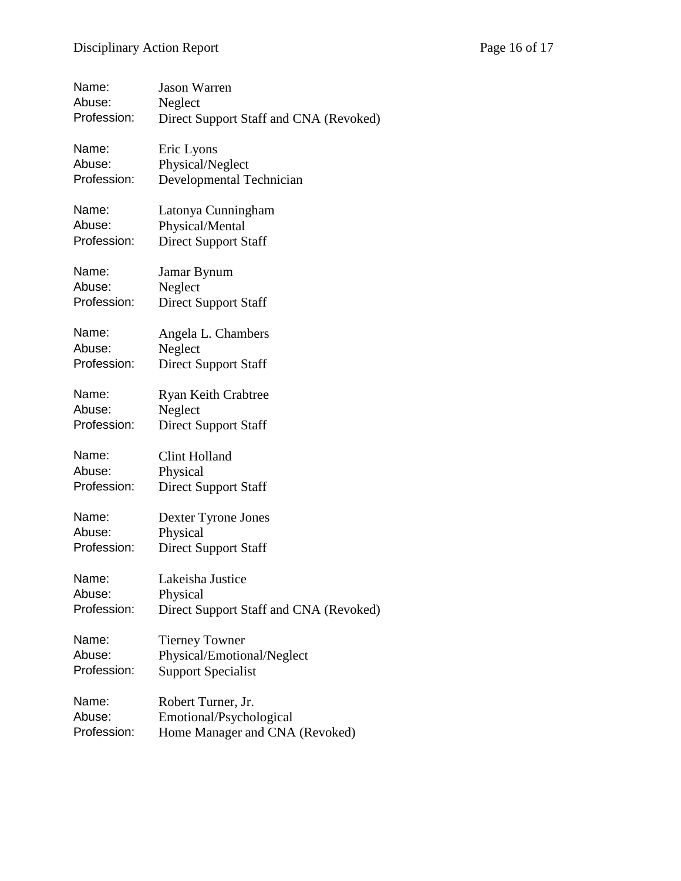| Name:       | <b>Jason Warren</b>                    |
|-------------|----------------------------------------|
| Abuse:      | Neglect                                |
| Profession: | Direct Support Staff and CNA (Revoked) |
| Name:       | Eric Lyons                             |
| Abuse:      | Physical/Neglect                       |
| Profession: | Developmental Technician               |
| Name:       | Latonya Cunningham                     |
| Abuse:      | Physical/Mental                        |
| Profession: | <b>Direct Support Staff</b>            |
| Name:       | Jamar Bynum                            |
| Abuse:      | Neglect                                |
| Profession: | <b>Direct Support Staff</b>            |
| Name:       | Angela L. Chambers                     |
| Abuse:      | Neglect                                |
| Profession: | <b>Direct Support Staff</b>            |
| Name:       | <b>Ryan Keith Crabtree</b>             |
| Abuse:      | Neglect                                |
| Profession: | <b>Direct Support Staff</b>            |
| Name:       | Clint Holland                          |
| Abuse:      | Physical                               |
| Profession: | <b>Direct Support Staff</b>            |
| Name:       | Dexter Tyrone Jones                    |
| Abuse:      | Physical                               |
| Profession: | <b>Direct Support Staff</b>            |
| Name:       | Lakeisha Justice                       |
| Abuse:      | Physical                               |
| Profession: | Direct Support Staff and CNA (Revoked) |
| Name:       | <b>Tierney Towner</b>                  |
| Abuse:      | Physical/Emotional/Neglect             |
| Profession: | <b>Support Specialist</b>              |
| Name:       | Robert Turner, Jr.                     |
| Abuse:      | Emotional/Psychological                |
| Profession: | Home Manager and CNA (Revoked)         |